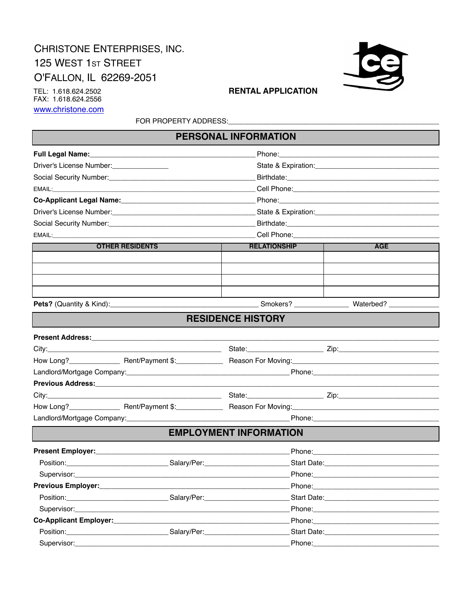# CHRISTONE ENTERPRISES, INC. 125 WEST 1st STREET O'FALLON, IL 62269-2051



TEL: 1.618.624.2502 FAX: 1.618.624.2556 www.christone.com

### **RENTAL APPLICATION**

FOR PROPERTY ADDRESS: CONSTRUCTION

| Driver's License Number:                                                                                                                                                                                                       |                                                                                  |            |
|--------------------------------------------------------------------------------------------------------------------------------------------------------------------------------------------------------------------------------|----------------------------------------------------------------------------------|------------|
|                                                                                                                                                                                                                                |                                                                                  |            |
|                                                                                                                                                                                                                                |                                                                                  |            |
| Social Security Number:<br><u> Social Security Number:</u>                                                                                                                                                                     |                                                                                  |            |
|                                                                                                                                                                                                                                |                                                                                  |            |
|                                                                                                                                                                                                                                |                                                                                  |            |
|                                                                                                                                                                                                                                |                                                                                  |            |
| Social Security Number: Manual According to the Social Security Number:                                                                                                                                                        |                                                                                  |            |
| EMAIL: The contract of the contract of the contract of the contract of the contract of the contract of the contract of the contract of the contract of the contract of the contract of the contract of the contract of the con | __________________________________Cell Phone:___________________________________ |            |
| <b>OTHER RESIDENTS</b>                                                                                                                                                                                                         | <b>RELATIONSHIP</b>                                                              | <b>AGE</b> |
|                                                                                                                                                                                                                                |                                                                                  |            |
|                                                                                                                                                                                                                                |                                                                                  |            |
|                                                                                                                                                                                                                                |                                                                                  |            |
|                                                                                                                                                                                                                                |                                                                                  |            |
|                                                                                                                                                                                                                                |                                                                                  |            |
|                                                                                                                                                                                                                                | <b>RESIDENCE HISTORY</b>                                                         |            |
|                                                                                                                                                                                                                                |                                                                                  |            |
|                                                                                                                                                                                                                                |                                                                                  |            |
|                                                                                                                                                                                                                                |                                                                                  |            |
|                                                                                                                                                                                                                                |                                                                                  |            |
| Previous Address: New York Strategy and Strategy and Strategy and Strategy and Strategy and Strategy and Strategy and Strategy and Strategy and Strategy and Strategy and Strategy and Strategy and Strategy and Strategy and  |                                                                                  |            |
|                                                                                                                                                                                                                                |                                                                                  |            |
|                                                                                                                                                                                                                                |                                                                                  |            |
|                                                                                                                                                                                                                                |                                                                                  |            |
|                                                                                                                                                                                                                                | <b>EMPLOYMENT INFORMATION</b>                                                    |            |

| Present Employer:                                |                                                                                                                                                                                                                                |                                                                                                                                                                                                                                |  |
|--------------------------------------------------|--------------------------------------------------------------------------------------------------------------------------------------------------------------------------------------------------------------------------------|--------------------------------------------------------------------------------------------------------------------------------------------------------------------------------------------------------------------------------|--|
|                                                  | Salary/Per: _________________                                                                                                                                                                                                  |                                                                                                                                                                                                                                |  |
|                                                  |                                                                                                                                                                                                                                |                                                                                                                                                                                                                                |  |
|                                                  |                                                                                                                                                                                                                                |                                                                                                                                                                                                                                |  |
|                                                  | Salary/Per: will be a series of the series of the series of the series of the series of the series of the series of the series of the series of the series of the series of the series of the series of the series of the seri |                                                                                                                                                                                                                                |  |
|                                                  |                                                                                                                                                                                                                                | Phone: the contract of the contract of the contract of the contract of the contract of the contract of the contract of the contract of the contract of the contract of the contract of the contract of the contract of the con |  |
| Co-Applicant Employer:<br>Co-Applicant Employer: |                                                                                                                                                                                                                                |                                                                                                                                                                                                                                |  |
|                                                  | Salary/Per: will be a series of the series of the series of the series of the series of the series of the series of the series of the series of the series of the series of the series of the series of the series of the seri |                                                                                                                                                                                                                                |  |
| Supervisor: _________________                    |                                                                                                                                                                                                                                | Phone: ________________                                                                                                                                                                                                        |  |